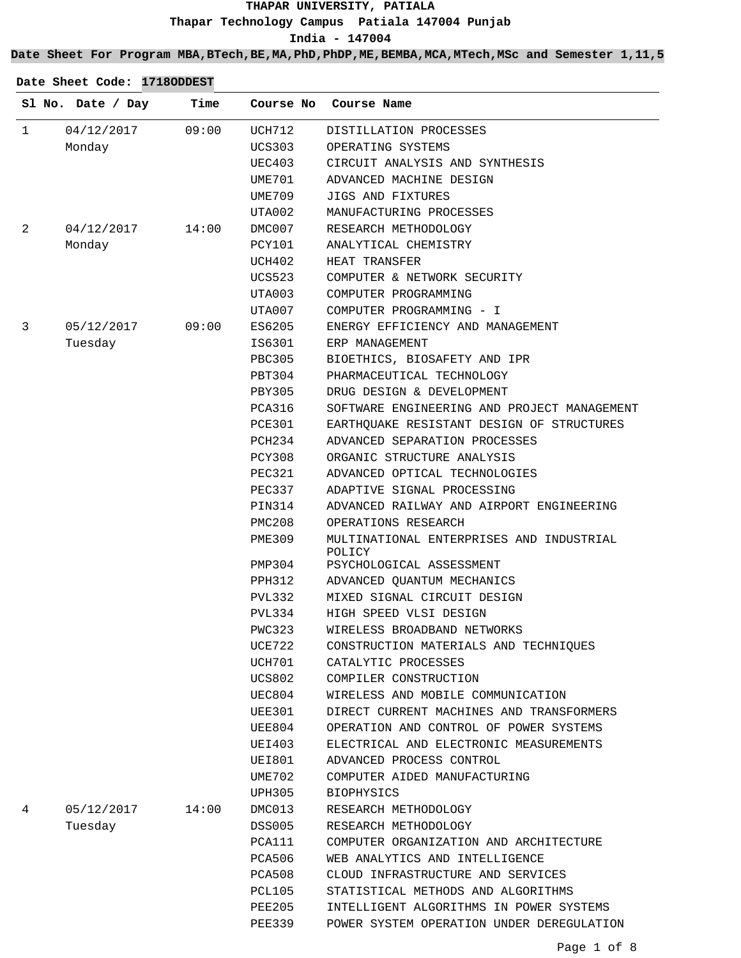### **Date Sheet For Program MBA,BTech,BE,MA,PhD,PhDP,ME,BEMBA,MCA,MTech,MSc and Semester 1,11,5**

|              | Sl No. Date / Day | Time  |               | Course No Course Name                              |
|--------------|-------------------|-------|---------------|----------------------------------------------------|
| $\mathbf{1}$ | 04/12/2017        | 09:00 | UCH712        | DISTILLATION PROCESSES                             |
|              | Monday            |       | <b>UCS303</b> | OPERATING SYSTEMS                                  |
|              |                   |       | UEC403        | CIRCUIT ANALYSIS AND SYNTHESIS                     |
|              |                   |       | UME701        | ADVANCED MACHINE DESIGN                            |
|              |                   |       | UME709        | JIGS AND FIXTURES                                  |
|              |                   |       | UTA002        | MANUFACTURING PROCESSES                            |
| 2            | 04/12/2017        | 14:00 | DMC007        | RESEARCH METHODOLOGY                               |
|              | Monday            |       | PCY101        | ANALYTICAL CHEMISTRY                               |
|              |                   |       | UCH402        | HEAT TRANSFER                                      |
|              |                   |       | UCS523        | COMPUTER & NETWORK SECURITY                        |
|              |                   |       | UTA003        | COMPUTER PROGRAMMING                               |
|              |                   |       | UTA007        | COMPUTER PROGRAMMING - I                           |
| 3            | 05/12/2017        | 09:00 | ES6205        | ENERGY EFFICIENCY AND MANAGEMENT                   |
|              | Tuesday           |       | IS6301        | ERP MANAGEMENT                                     |
|              |                   |       | PBC305        | BIOETHICS, BIOSAFETY AND IPR                       |
|              |                   |       | PBT304        | PHARMACEUTICAL TECHNOLOGY                          |
|              |                   |       | PBY305        | DRUG DESIGN & DEVELOPMENT                          |
|              |                   |       | PCA316        | SOFTWARE ENGINEERING AND PROJECT MANAGEMENT        |
|              |                   |       | PCE301        | EARTHQUAKE RESISTANT DESIGN OF STRUCTURES          |
|              |                   |       | PCH234        | ADVANCED SEPARATION PROCESSES                      |
|              |                   |       | PCY308        | ORGANIC STRUCTURE ANALYSIS                         |
|              |                   |       | PEC321        | ADVANCED OPTICAL TECHNOLOGIES                      |
|              |                   |       | PEC337        | ADAPTIVE SIGNAL PROCESSING                         |
|              |                   |       | PIN314        | ADVANCED RAILWAY AND AIRPORT ENGINEERING           |
|              |                   |       | PMC208        | OPERATIONS RESEARCH                                |
|              |                   |       | PME309        | MULTINATIONAL ENTERPRISES AND INDUSTRIAL<br>POLICY |
|              |                   |       | PMP304        | PSYCHOLOGICAL ASSESSMENT                           |
|              |                   |       | PPH312        | ADVANCED QUANTUM MECHANICS                         |
|              |                   |       | PVL332        | MIXED SIGNAL CIRCUIT DESIGN                        |
|              |                   |       | PVL334        | HIGH SPEED VLSI DESIGN                             |
|              |                   |       | PWC323        | WIRELESS BROADBAND NETWORKS                        |
|              |                   |       | UCE722        | CONSTRUCTION MATERIALS AND TECHNIQUES              |
|              |                   |       | UCH701        | CATALYTIC PROCESSES                                |
|              |                   |       | <b>UCS802</b> | COMPILER CONSTRUCTION                              |
|              |                   |       | UEC804        | WIRELESS AND MOBILE COMMUNICATION                  |
|              |                   |       | UEE301        | DIRECT CURRENT MACHINES AND TRANSFORMERS           |
|              |                   |       | UEE804        | OPERATION AND CONTROL OF POWER SYSTEMS             |
|              |                   |       | UEI403        | ELECTRICAL AND ELECTRONIC MEASUREMENTS             |
|              |                   |       | UEI801        | ADVANCED PROCESS CONTROL                           |
|              |                   |       | UME702        | COMPUTER AIDED MANUFACTURING                       |
|              |                   |       | UPH305        | <b>BIOPHYSICS</b>                                  |
| 4            | 05/12/2017        | 14:00 | DMC013        | RESEARCH METHODOLOGY                               |
|              | Tuesday           |       | DSS005        | RESEARCH METHODOLOGY                               |
|              |                   |       | PCA111        | COMPUTER ORGANIZATION AND ARCHITECTURE             |
|              |                   |       | PCA506        | WEB ANALYTICS AND INTELLIGENCE                     |
|              |                   |       | PCA508        | CLOUD INFRASTRUCTURE AND SERVICES                  |
|              |                   |       | PCL105        | STATISTICAL METHODS AND ALGORITHMS                 |
|              |                   |       | PEE205        | INTELLIGENT ALGORITHMS IN POWER SYSTEMS            |
|              |                   |       | PEE339        | POWER SYSTEM OPERATION UNDER DEREGULATION          |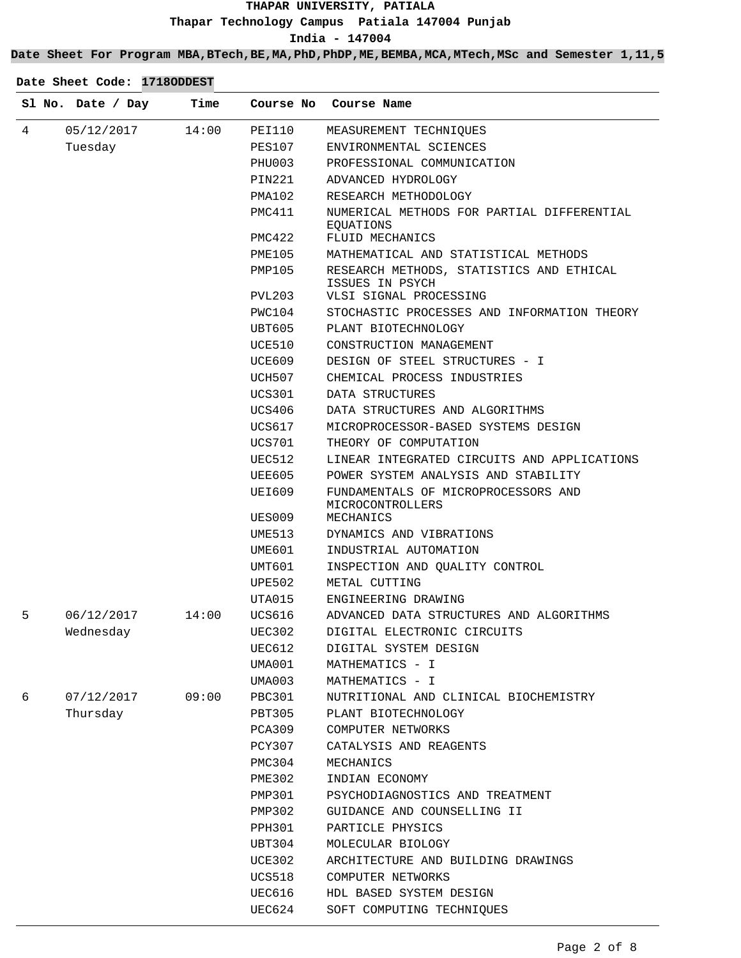## **Date Sheet For Program MBA,BTech,BE,MA,PhD,PhDP,ME,BEMBA,MCA,MTech,MSc and Semester 1,11,5**

|   | Sl No. Date / Day | Time  | Course No        | Course Name                                                          |
|---|-------------------|-------|------------------|----------------------------------------------------------------------|
| 4 | 05/12/2017        | 14:00 | PEI110           | MEASUREMENT TECHNIQUES                                               |
|   | Tuesday           |       | PES107           | ENVIRONMENTAL SCIENCES                                               |
|   |                   |       | PHU003           | PROFESSIONAL COMMUNICATION                                           |
|   |                   |       | PIN221           | ADVANCED HYDROLOGY                                                   |
|   |                   |       | PMA102           | RESEARCH METHODOLOGY                                                 |
|   |                   |       | PMC411           | NUMERICAL METHODS FOR PARTIAL DIFFERENTIAL<br>EQUATIONS              |
|   |                   |       | PMC422           | FLUID MECHANICS                                                      |
|   |                   |       | <b>PME105</b>    | MATHEMATICAL AND STATISTICAL METHODS                                 |
|   |                   |       | PMP105           | RESEARCH METHODS, STATISTICS AND ETHICAL<br>ISSUES IN PSYCH          |
|   |                   |       | PVL203           | VLSI SIGNAL PROCESSING                                               |
|   |                   |       | PWC104           | STOCHASTIC PROCESSES AND INFORMATION THEORY                          |
|   |                   |       | UBT605           | PLANT BIOTECHNOLOGY                                                  |
|   |                   |       | UCE510           | CONSTRUCTION MANAGEMENT                                              |
|   |                   |       | UCE609           | DESIGN OF STEEL STRUCTURES - I                                       |
|   |                   |       | UCH507           | CHEMICAL PROCESS INDUSTRIES                                          |
|   |                   |       | UCS301           | DATA STRUCTURES                                                      |
|   |                   |       | UCS406           | DATA STRUCTURES AND ALGORITHMS                                       |
|   |                   |       | UCS617           | MICROPROCESSOR-BASED SYSTEMS DESIGN                                  |
|   |                   |       | UCS701           | THEORY OF COMPUTATION                                                |
|   |                   |       | UEC512           | LINEAR INTEGRATED CIRCUITS AND APPLICATIONS                          |
|   |                   |       | UEE605           | POWER SYSTEM ANALYSIS AND STABILITY                                  |
|   |                   |       | UEI609<br>UES009 | FUNDAMENTALS OF MICROPROCESSORS AND<br>MICROCONTROLLERS<br>MECHANICS |
|   |                   |       |                  | DYNAMICS AND VIBRATIONS                                              |
|   |                   |       | UME513           |                                                                      |
|   |                   |       | UME601           | INDUSTRIAL AUTOMATION                                                |
|   |                   |       | UMT601           | INSPECTION AND QUALITY CONTROL                                       |
|   |                   |       | UPE502           | METAL CUTTING                                                        |
|   |                   |       | UTA015           | ENGINEERING DRAWING                                                  |
| 5 | 06/12/2017        | 14:00 | UCS616           | ADVANCED DATA STRUCTURES AND ALGORITHMS                              |
|   | Wednesday         |       | UEC302           | DIGITAL ELECTRONIC CIRCUITS                                          |
|   |                   |       | UEC612           | DIGITAL SYSTEM DESIGN                                                |
|   |                   |       | UMA001           | MATHEMATICS - I                                                      |
|   |                   |       | UMA003           | MATHEMATICS - I                                                      |
| 6 | 07/12/2017        | 09:00 | PBC301           | NUTRITIONAL AND CLINICAL BIOCHEMISTRY                                |
|   | Thursday          |       | PBT305<br>PCA309 | PLANT BIOTECHNOLOGY                                                  |
|   |                   |       |                  | COMPUTER NETWORKS                                                    |
|   |                   |       | PCY307           | CATALYSIS AND REAGENTS                                               |
|   |                   |       | PMC304           | MECHANICS                                                            |
|   |                   |       | <b>PME302</b>    | INDIAN ECONOMY                                                       |
|   |                   |       | PMP301           | PSYCHODIAGNOSTICS AND TREATMENT                                      |
|   |                   |       | PMP302           | GUIDANCE AND COUNSELLING II                                          |
|   |                   |       | PPH301           | PARTICLE PHYSICS                                                     |
|   |                   |       | UBT304           | MOLECULAR BIOLOGY                                                    |
|   |                   |       | UCE302           | ARCHITECTURE AND BUILDING DRAWINGS                                   |
|   |                   |       | UCS518           | COMPUTER NETWORKS                                                    |
|   |                   |       | UEC616           | HDL BASED SYSTEM DESIGN                                              |
|   |                   |       | UEC624           | SOFT COMPUTING TECHNIQUES                                            |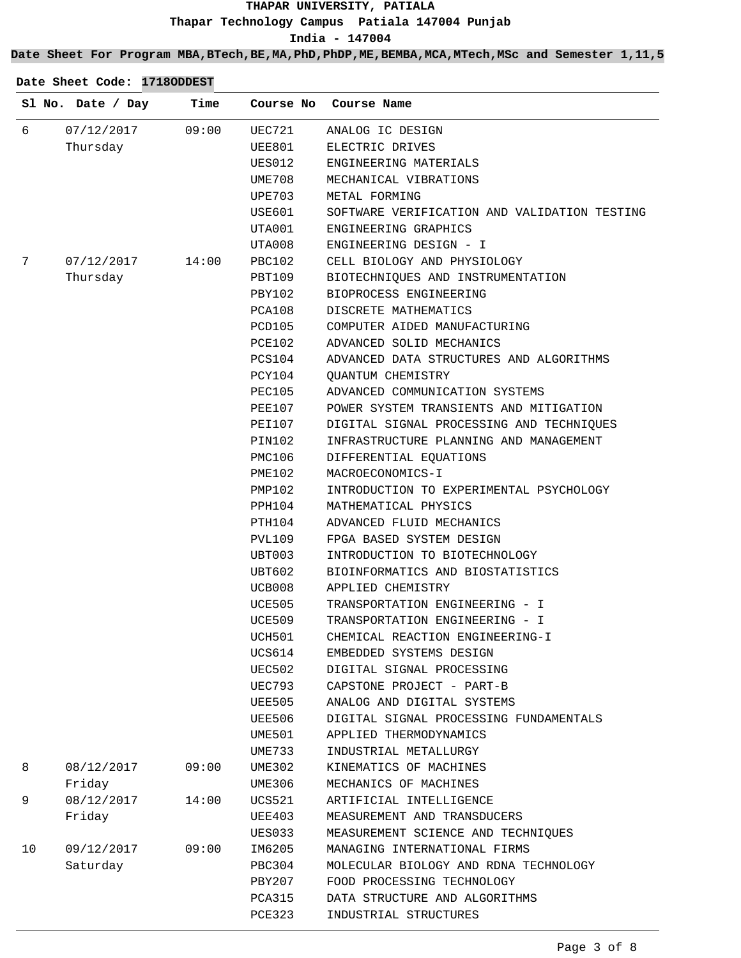**Date Sheet For Program MBA,BTech,BE,MA,PhD,PhDP,ME,BEMBA,MCA,MTech,MSc and Semester 1,11,5**

|    | Sl No. Date / Day | Time  | Course No     | Course Name                                  |
|----|-------------------|-------|---------------|----------------------------------------------|
| 6  | 07/12/2017        | 09:00 | UEC721        | ANALOG IC DESIGN                             |
|    | Thursday          |       | UEE801        | ELECTRIC DRIVES                              |
|    |                   |       | UES012        | ENGINEERING MATERIALS                        |
|    |                   |       | UME708        | MECHANICAL VIBRATIONS                        |
|    |                   |       | <b>UPE703</b> | METAL FORMING                                |
|    |                   |       | USE601        | SOFTWARE VERIFICATION AND VALIDATION TESTING |
|    |                   |       | UTA001        | ENGINEERING GRAPHICS                         |
|    |                   |       | UTA008        | ENGINEERING DESIGN - I                       |
| 7  | 07/12/2017        | 14:00 | <b>PBC102</b> | CELL BIOLOGY AND PHYSIOLOGY                  |
|    | Thursday          |       | PBT109        | BIOTECHNIQUES AND INSTRUMENTATION            |
|    |                   |       | PBY102        | BIOPROCESS ENGINEERING                       |
|    |                   |       | PCA108        | DISCRETE MATHEMATICS                         |
|    |                   |       | PCD105        | COMPUTER AIDED MANUFACTURING                 |
|    |                   |       | <b>PCE102</b> | ADVANCED SOLID MECHANICS                     |
|    |                   |       | <b>PCS104</b> | ADVANCED DATA STRUCTURES AND ALGORITHMS      |
|    |                   |       | PCY104        | QUANTUM CHEMISTRY                            |
|    |                   |       | <b>PEC105</b> | ADVANCED COMMUNICATION SYSTEMS               |
|    |                   |       | <b>PEE107</b> | POWER SYSTEM TRANSIENTS AND MITIGATION       |
|    |                   |       | PEI107        | DIGITAL SIGNAL PROCESSING AND TECHNIQUES     |
|    |                   |       | PIN102        | INFRASTRUCTURE PLANNING AND MANAGEMENT       |
|    |                   |       | PMC106        | DIFFERENTIAL EQUATIONS                       |
|    |                   |       | <b>PME102</b> | MACROECONOMICS-I                             |
|    |                   |       | <b>PMP102</b> | INTRODUCTION TO EXPERIMENTAL PSYCHOLOGY      |
|    |                   |       | PPH104        | MATHEMATICAL PHYSICS                         |
|    |                   |       | PTH104        | ADVANCED FLUID MECHANICS                     |
|    |                   |       | PVL109        | FPGA BASED SYSTEM DESIGN                     |
|    |                   |       | UBT003        | INTRODUCTION TO BIOTECHNOLOGY                |
|    |                   |       | UBT602        | BIOINFORMATICS AND BIOSTATISTICS             |
|    |                   |       | UCB008        | APPLIED CHEMISTRY                            |
|    |                   |       | <b>UCE505</b> | TRANSPORTATION ENGINEERING - I               |
|    |                   |       | UCE509        | TRANSPORTATION ENGINEERING - I               |
|    |                   |       | UCH501        | CHEMICAL REACTION ENGINEERING-I              |
|    |                   |       | UCS614        | EMBEDDED SYSTEMS DESIGN                      |
|    |                   |       | <b>UEC502</b> | DIGITAL SIGNAL PROCESSING                    |
|    |                   |       | UEC793        | CAPSTONE PROJECT - PART-B                    |
|    |                   |       | <b>UEE505</b> | ANALOG AND DIGITAL SYSTEMS                   |
|    |                   |       | UEE506        | DIGITAL SIGNAL PROCESSING FUNDAMENTALS       |
|    |                   |       | UME501        | APPLIED THERMODYNAMICS                       |
|    |                   |       | <b>UME733</b> | INDUSTRIAL METALLURGY                        |
| 8  | 08/12/2017        | 09:00 | UME302        | KINEMATICS OF MACHINES                       |
|    | Friday            |       | UME306        | MECHANICS OF MACHINES                        |
|    |                   |       |               |                                              |
| 9  | 08/12/2017        | 14:00 | <b>UCS521</b> | ARTIFICIAL INTELLIGENCE                      |
|    | Friday            |       | <b>UEE403</b> | MEASUREMENT AND TRANSDUCERS                  |
|    |                   |       | UES033        | MEASUREMENT SCIENCE AND TECHNIQUES           |
| 10 | 09/12/2017        | 09:00 | IM6205        | MANAGING INTERNATIONAL FIRMS                 |
|    | Saturday          |       | PBC304        | MOLECULAR BIOLOGY AND RDNA TECHNOLOGY        |
|    |                   |       | <b>PBY207</b> | FOOD PROCESSING TECHNOLOGY                   |
|    |                   |       | PCA315        | DATA STRUCTURE AND ALGORITHMS                |
|    |                   |       | <b>PCE323</b> | INDUSTRIAL STRUCTURES                        |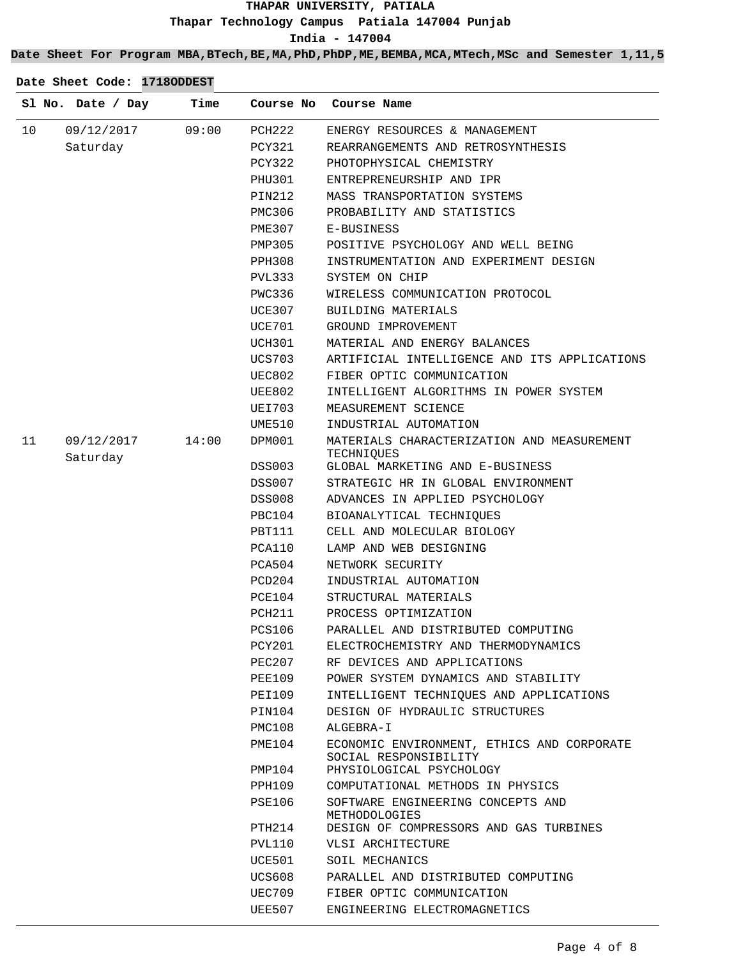**Date Sheet For Program MBA,BTech,BE,MA,PhD,PhDP,ME,BEMBA,MCA,MTech,MSc and Semester 1,11,5**

|    | Sl No. Date / Day      | Time  | Course No     | Course Name                                                         |
|----|------------------------|-------|---------------|---------------------------------------------------------------------|
| 10 | 09/12/2017             | 09:00 | PCH222        | ENERGY RESOURCES & MANAGEMENT                                       |
|    | Saturday               |       | <b>PCY321</b> | REARRANGEMENTS AND RETROSYNTHESIS                                   |
|    |                        |       | PCY322        | PHOTOPHYSICAL CHEMISTRY                                             |
|    |                        |       | PHU301        | ENTREPRENEURSHIP AND IPR                                            |
|    |                        |       | PIN212        | MASS TRANSPORTATION SYSTEMS                                         |
|    |                        |       | <b>PMC306</b> | PROBABILITY AND STATISTICS                                          |
|    |                        |       | <b>PME307</b> | E-BUSINESS                                                          |
|    |                        |       | PMP305        | POSITIVE PSYCHOLOGY AND WELL BEING                                  |
|    |                        |       | PPH308        | INSTRUMENTATION AND EXPERIMENT DESIGN                               |
|    |                        |       | PVL333        | SYSTEM ON CHIP                                                      |
|    |                        |       | PWC336        | WIRELESS COMMUNICATION PROTOCOL                                     |
|    |                        |       | UCE307        | <b>BUILDING MATERIALS</b>                                           |
|    |                        |       | UCE701        | GROUND IMPROVEMENT                                                  |
|    |                        |       | <b>UCH301</b> | MATERIAL AND ENERGY BALANCES                                        |
|    |                        |       | <b>UCS703</b> | ARTIFICIAL INTELLIGENCE AND ITS APPLICATIONS                        |
|    |                        |       | <b>UEC802</b> | FIBER OPTIC COMMUNICATION                                           |
|    |                        |       | UEE802        | INTELLIGENT ALGORITHMS IN POWER SYSTEM                              |
|    |                        |       | UEI703        | MEASUREMENT SCIENCE                                                 |
|    |                        |       | UME510        | INDUSTRIAL AUTOMATION                                               |
| 11 | 09/12/2017<br>Saturday | 14:00 | DPM001        | MATERIALS CHARACTERIZATION AND MEASUREMENT<br>TECHNIQUES            |
|    |                        |       | DSS003        | GLOBAL MARKETING AND E-BUSINESS                                     |
|    |                        |       | <b>DSS007</b> | STRATEGIC HR IN GLOBAL ENVIRONMENT                                  |
|    |                        |       | DSS008        | ADVANCES IN APPLIED PSYCHOLOGY                                      |
|    |                        |       | PBC104        | BIOANALYTICAL TECHNIQUES                                            |
|    |                        |       | PBT111        | CELL AND MOLECULAR BIOLOGY                                          |
|    |                        |       | PCA110        | LAMP AND WEB DESIGNING                                              |
|    |                        |       | PCA504        | NETWORK SECURITY                                                    |
|    |                        |       | PCD204        | INDUSTRIAL AUTOMATION                                               |
|    |                        |       | PCE104        | STRUCTURAL MATERIALS                                                |
|    |                        |       | PCH211        | PROCESS OPTIMIZATION                                                |
|    |                        |       | <b>PCS106</b> | PARALLEL AND DISTRIBUTED COMPUTING                                  |
|    |                        |       | PCY201        | ELECTROCHEMISTRY AND THERMODYNAMICS                                 |
|    |                        |       | PEC207        | RF DEVICES AND APPLICATIONS                                         |
|    |                        |       | PEE109        | POWER SYSTEM DYNAMICS AND STABILITY                                 |
|    |                        |       | PEI109        | INTELLIGENT TECHNIQUES AND APPLICATIONS                             |
|    |                        |       | PIN104        | DESIGN OF HYDRAULIC STRUCTURES                                      |
|    |                        |       | PMC108        | ALGEBRA-I                                                           |
|    |                        |       | PME104        | ECONOMIC ENVIRONMENT, ETHICS AND CORPORATE<br>SOCIAL RESPONSIBILITY |
|    |                        |       | PMP104        | PHYSIOLOGICAL PSYCHOLOGY                                            |
|    |                        |       | PPH109        | COMPUTATIONAL METHODS IN PHYSICS                                    |
|    |                        |       | PSE106        | SOFTWARE ENGINEERING CONCEPTS AND<br>METHODOLOGIES                  |
|    |                        |       | PTH214        | DESIGN OF COMPRESSORS AND GAS TURBINES                              |
|    |                        |       | PVL110        | VLSI ARCHITECTURE                                                   |
|    |                        |       | UCE501        | SOIL MECHANICS                                                      |
|    |                        |       | UCS608        | PARALLEL AND DISTRIBUTED COMPUTING                                  |
|    |                        |       | UEC709        | FIBER OPTIC COMMUNICATION                                           |
|    |                        |       | UEE507        | ENGINEERING ELECTROMAGNETICS                                        |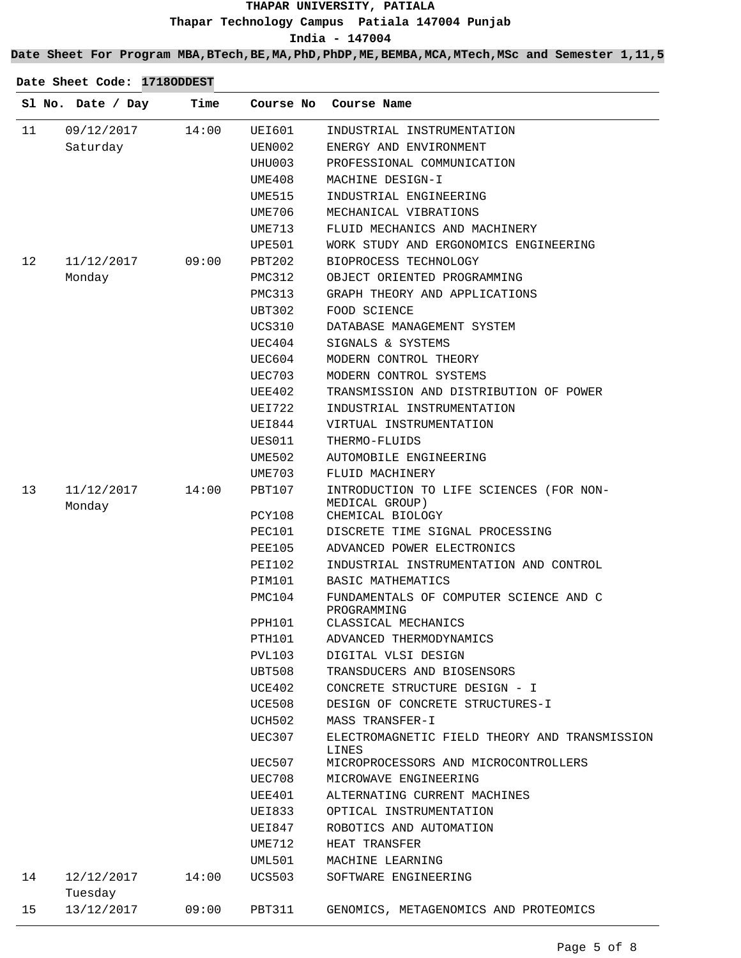**India - 147004**

**Date Sheet For Program MBA,BTech,BE,MA,PhD,PhDP,ME,BEMBA,MCA,MTech,MSc and Semester 1,11,5**

|    | Sl No. Date / Day     | Time  | Course No     | Course Name                                           |
|----|-----------------------|-------|---------------|-------------------------------------------------------|
| 11 | 09/12/2017            | 14:00 | <b>UEI601</b> | INDUSTRIAL INSTRUMENTATION                            |
|    | Saturday              |       | UEN002        | ENERGY AND ENVIRONMENT                                |
|    |                       |       | UHU003        | PROFESSIONAL COMMUNICATION                            |
|    |                       |       | UME408        | MACHINE DESIGN-I                                      |
|    |                       |       | UME515        | INDUSTRIAL ENGINEERING                                |
|    |                       |       | <b>UME706</b> | MECHANICAL VIBRATIONS                                 |
|    |                       |       | UME713        | FLUID MECHANICS AND MACHINERY                         |
|    |                       |       | UPE501        | WORK STUDY AND ERGONOMICS ENGINEERING                 |
| 12 | 11/12/2017            | 09:00 | PBT202        | BIOPROCESS TECHNOLOGY                                 |
|    | Monday                |       | PMC312        | OBJECT ORIENTED PROGRAMMING                           |
|    |                       |       | <b>PMC313</b> | GRAPH THEORY AND APPLICATIONS                         |
|    |                       |       | <b>UBT302</b> | FOOD SCIENCE                                          |
|    |                       |       | <b>UCS310</b> | DATABASE MANAGEMENT SYSTEM                            |
|    |                       |       | UEC404        | SIGNALS & SYSTEMS                                     |
|    |                       |       | UEC604        | MODERN CONTROL THEORY                                 |
|    |                       |       | <b>UEC703</b> | MODERN CONTROL SYSTEMS                                |
|    |                       |       | UEE402        | TRANSMISSION AND DISTRIBUTION OF POWER                |
|    |                       |       | UEI722        | INDUSTRIAL INSTRUMENTATION                            |
|    |                       |       | UEI844        | VIRTUAL INSTRUMENTATION                               |
|    |                       |       | UES011        | THERMO-FLUIDS                                         |
|    |                       |       | UME502        | AUTOMOBILE ENGINEERING                                |
|    |                       |       | <b>UME703</b> | FLUID MACHINERY                                       |
| 13 | 11/12/2017            | 14:00 | PBT107        | INTRODUCTION TO LIFE SCIENCES (FOR NON-               |
|    | Monday                |       | PCY108        | MEDICAL GROUP)<br>CHEMICAL BIOLOGY                    |
|    |                       |       | <b>PEC101</b> | DISCRETE TIME SIGNAL PROCESSING                       |
|    |                       |       | PEE105        | ADVANCED POWER ELECTRONICS                            |
|    |                       |       | PEI102        | INDUSTRIAL INSTRUMENTATION AND CONTROL                |
|    |                       |       | PIM101        | BASIC MATHEMATICS                                     |
|    |                       |       | PMC104        | FUNDAMENTALS OF COMPUTER SCIENCE AND C<br>PROGRAMMING |
|    |                       |       | PPH101        | CLASSICAL MECHANICS                                   |
|    |                       |       | <b>PTH101</b> | ADVANCED THERMODYNAMICS                               |
|    |                       |       | PVL103        | DIGITAL VLSI DESIGN                                   |
|    |                       |       | UBT508        | TRANSDUCERS AND BIOSENSORS                            |
|    |                       |       | UCE402        | CONCRETE STRUCTURE DESIGN - I                         |
|    |                       |       | UCE508        | DESIGN OF CONCRETE STRUCTURES-I                       |
|    |                       |       | <b>UCH502</b> | MASS TRANSFER-I                                       |
|    |                       |       | <b>UEC307</b> | ELECTROMAGNETIC FIELD THEORY AND TRANSMISSION         |
|    |                       |       | UEC507        | LINES<br>MICROPROCESSORS AND MICROCONTROLLERS         |
|    |                       |       | UEC708        | MICROWAVE ENGINEERING                                 |
|    |                       |       | UEE401        | ALTERNATING CURRENT MACHINES                          |
|    |                       |       | UEI833        | OPTICAL INSTRUMENTATION                               |
|    |                       |       | UEI847        | ROBOTICS AND AUTOMATION                               |
|    |                       |       | UME712        | HEAT TRANSFER                                         |
|    |                       |       | UML501        | MACHINE LEARNING                                      |
| 14 | 12/12/2017<br>Tuesday | 14:00 | UCS503        | SOFTWARE ENGINEERING                                  |
| 15 | 13/12/2017            | 09:00 | PBT311        | GENOMICS, METAGENOMICS AND PROTEOMICS                 |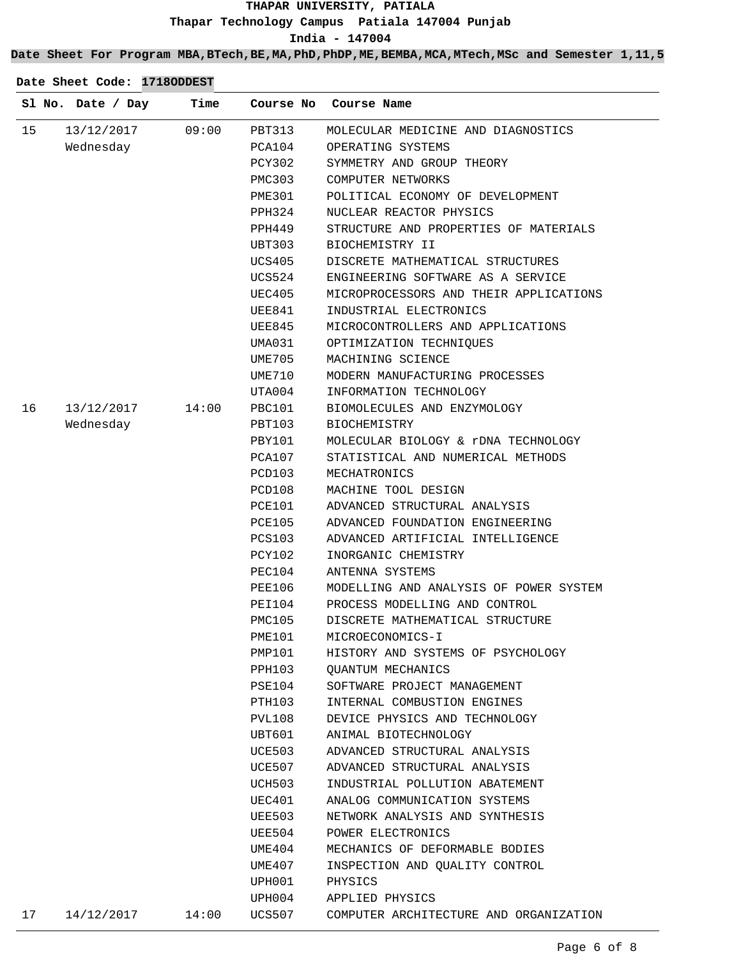**Date Sheet For Program MBA,BTech,BE,MA,PhD,PhDP,ME,BEMBA,MCA,MTech,MSc and Semester 1,11,5**

|    | Sl No. Date / Day | Time  | Course No | Course Name                            |
|----|-------------------|-------|-----------|----------------------------------------|
| 15 | 13/12/2017        | 09:00 | PBT313    | MOLECULAR MEDICINE AND DIAGNOSTICS     |
|    | Wednesday         |       | PCA104    | OPERATING SYSTEMS                      |
|    |                   |       | PCY302    | SYMMETRY AND GROUP THEORY              |
|    |                   |       | PMC303    | COMPUTER NETWORKS                      |
|    |                   |       | PME301    | POLITICAL ECONOMY OF DEVELOPMENT       |
|    |                   |       | PPH324    | NUCLEAR REACTOR PHYSICS                |
|    |                   |       | PPH449    | STRUCTURE AND PROPERTIES OF MATERIALS  |
|    |                   |       | UBT303    | BIOCHEMISTRY II                        |
|    |                   |       | UCS405    | DISCRETE MATHEMATICAL STRUCTURES       |
|    |                   |       | UCS524    | ENGINEERING SOFTWARE AS A SERVICE      |
|    |                   |       | UEC405    | MICROPROCESSORS AND THEIR APPLICATIONS |
|    |                   |       | UEE841    | INDUSTRIAL ELECTRONICS                 |
|    |                   |       | UEE845    | MICROCONTROLLERS AND APPLICATIONS      |
|    |                   |       | UMA031    | OPTIMIZATION TECHNIQUES                |
|    |                   |       | UME705    | MACHINING SCIENCE                      |
|    |                   |       | UME710    | MODERN MANUFACTURING PROCESSES         |
|    |                   |       | UTA004    | INFORMATION TECHNOLOGY                 |
| 16 | 13/12/2017        | 14:00 | PBC101    | BIOMOLECULES AND ENZYMOLOGY            |
|    | Wednesday         |       | PBT103    | BIOCHEMISTRY                           |
|    |                   |       | PBY101    | MOLECULAR BIOLOGY & rDNA TECHNOLOGY    |
|    |                   |       | PCA107    | STATISTICAL AND NUMERICAL METHODS      |
|    |                   |       | PCD103    | MECHATRONICS                           |
|    |                   |       | PCD108    | MACHINE TOOL DESIGN                    |
|    |                   |       | PCE101    | ADVANCED STRUCTURAL ANALYSIS           |
|    |                   |       | PCE105    | ADVANCED FOUNDATION ENGINEERING        |
|    |                   |       | PCS103    | ADVANCED ARTIFICIAL INTELLIGENCE       |
|    |                   |       | PCY102    | INORGANIC CHEMISTRY                    |
|    |                   |       | PEC104    | ANTENNA SYSTEMS                        |
|    |                   |       | PEE106    | MODELLING AND ANALYSIS OF POWER SYSTEM |
|    |                   |       | PEI104    | PROCESS MODELLING AND CONTROL          |
|    |                   |       | PMC105    | DISCRETE MATHEMATICAL STRUCTURE        |
|    |                   |       | PME101    | MICROECONOMICS-I                       |
|    |                   |       | PMP101    | HISTORY AND SYSTEMS OF PSYCHOLOGY      |
|    |                   |       | PPH103    | <b>QUANTUM MECHANICS</b>               |
|    |                   |       | PSE104    | SOFTWARE PROJECT MANAGEMENT            |
|    |                   |       | PTH103    | INTERNAL COMBUSTION ENGINES            |
|    |                   |       | PVL108    | DEVICE PHYSICS AND TECHNOLOGY          |
|    |                   |       | UBT601    | ANIMAL BIOTECHNOLOGY                   |
|    |                   |       | UCE503    | ADVANCED STRUCTURAL ANALYSIS           |
|    |                   |       | UCE507    | ADVANCED STRUCTURAL ANALYSIS           |
|    |                   |       | UCH503    | INDUSTRIAL POLLUTION ABATEMENT         |
|    |                   |       | UEC401    | ANALOG COMMUNICATION SYSTEMS           |
|    |                   |       | UEE503    | NETWORK ANALYSIS AND SYNTHESIS         |
|    |                   |       | UEE504    | POWER ELECTRONICS                      |
|    |                   |       | UME404    | MECHANICS OF DEFORMABLE BODIES         |
|    |                   |       | UME407    | INSPECTION AND QUALITY CONTROL         |
|    |                   |       |           |                                        |
|    |                   |       | UPH001    | PHYSICS                                |
|    |                   | 14:00 | UPH004    | APPLIED PHYSICS                        |
| 17 | 14/12/2017        |       | UCS507    | COMPUTER ARCHITECTURE AND ORGANIZATION |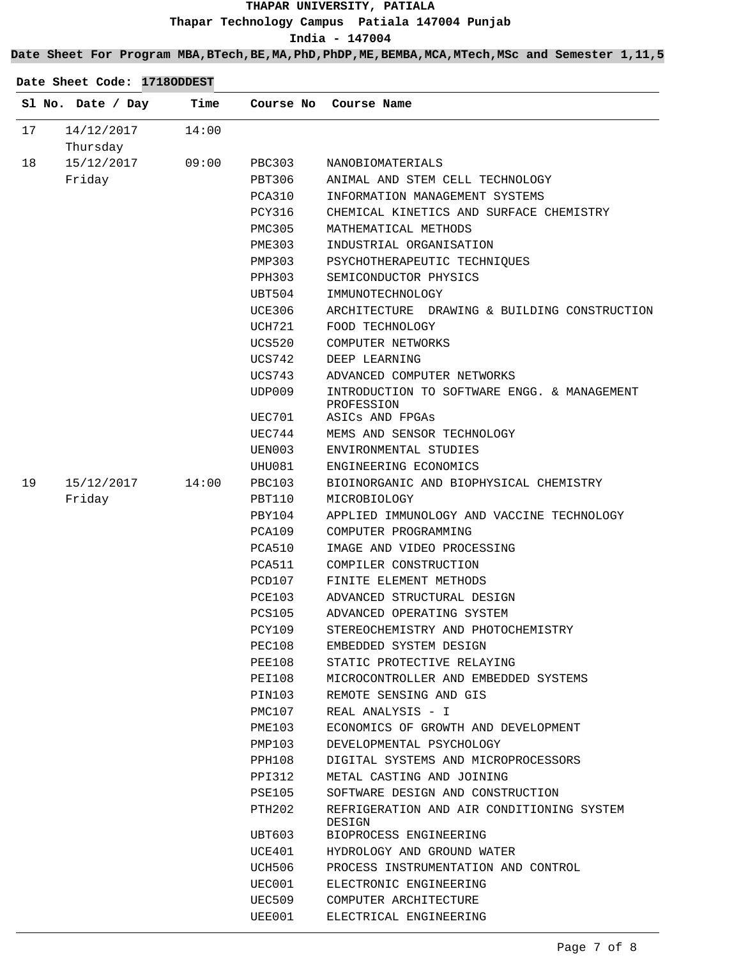#### **Date Sheet For Program MBA,BTech,BE,MA,PhD,PhDP,ME,BEMBA,MCA,MTech,MSc and Semester 1,11,5**

|    | Sl No. Date / Day | Time  | Course No        | Course Name                                               |
|----|-------------------|-------|------------------|-----------------------------------------------------------|
| 17 | 14/12/2017        | 14:00 |                  |                                                           |
|    | Thursday          |       |                  |                                                           |
| 18 | 15/12/2017        | 09:00 | <b>PBC303</b>    | NANOBIOMATERIALS                                          |
|    | Friday            |       | PBT306           | ANIMAL AND STEM CELL TECHNOLOGY                           |
|    |                   |       | PCA310           | INFORMATION MANAGEMENT SYSTEMS                            |
|    |                   |       | <b>PCY316</b>    | CHEMICAL KINETICS AND SURFACE CHEMISTRY                   |
|    |                   |       | <b>PMC305</b>    | MATHEMATICAL METHODS                                      |
|    |                   |       | PME303           | INDUSTRIAL ORGANISATION                                   |
|    |                   |       | PMP303           | PSYCHOTHERAPEUTIC TECHNIQUES                              |
|    |                   |       | <b>PPH303</b>    | SEMICONDUCTOR PHYSICS                                     |
|    |                   |       | UBT504           | IMMUNOTECHNOLOGY                                          |
|    |                   |       | UCE306           | DRAWING & BUILDING CONSTRUCTION<br>ARCHITECTURE           |
|    |                   |       | <b>UCH721</b>    | FOOD TECHNOLOGY                                           |
|    |                   |       | <b>UCS520</b>    | COMPUTER NETWORKS                                         |
|    |                   |       | UCS742           | DEEP LEARNING                                             |
|    |                   |       | UCS743           | ADVANCED COMPUTER NETWORKS                                |
|    |                   |       | UDP009           | INTRODUCTION TO SOFTWARE ENGG. & MANAGEMENT<br>PROFESSION |
|    |                   |       | UEC701           | ASICs AND FPGAs                                           |
|    |                   |       | UEC744           | MEMS AND SENSOR TECHNOLOGY                                |
|    |                   |       | UEN003           | ENVIRONMENTAL STUDIES                                     |
|    |                   |       | UHU081           | ENGINEERING ECONOMICS                                     |
| 19 | 15/12/2017        | 14:00 | PBC103           | BIOINORGANIC AND BIOPHYSICAL CHEMISTRY                    |
|    | Friday            |       | PBT110           | MICROBIOLOGY                                              |
|    |                   |       | PBY104           | APPLIED IMMUNOLOGY AND VACCINE TECHNOLOGY                 |
|    |                   |       | PCA109           | COMPUTER PROGRAMMING                                      |
|    |                   |       | PCA510           | IMAGE AND VIDEO PROCESSING                                |
|    |                   |       | PCA511           | COMPILER CONSTRUCTION                                     |
|    |                   |       | PCD107           | FINITE ELEMENT METHODS                                    |
|    |                   |       | <b>PCE103</b>    | ADVANCED STRUCTURAL DESIGN                                |
|    |                   |       | <b>PCS105</b>    | ADVANCED OPERATING SYSTEM                                 |
|    |                   |       | PCY109           | STEREOCHEMISTRY AND PHOTOCHEMISTRY                        |
|    |                   |       | PEC108           | EMBEDDED SYSTEM DESIGN<br>STATIC PROTECTIVE RELAYING      |
|    |                   |       | PEE108<br>PEI108 | MICROCONTROLLER AND EMBEDDED SYSTEMS                      |
|    |                   |       |                  | REMOTE SENSING AND GIS                                    |
|    |                   |       | PIN103<br>PMC107 | REAL ANALYSIS - I                                         |
|    |                   |       | PME103           | ECONOMICS OF GROWTH AND DEVELOPMENT                       |
|    |                   |       | PMP103           | DEVELOPMENTAL PSYCHOLOGY                                  |
|    |                   |       | PPH108           | DIGITAL SYSTEMS AND MICROPROCESSORS                       |
|    |                   |       | PPI312           | METAL CASTING AND JOINING                                 |
|    |                   |       | PSE105           | SOFTWARE DESIGN AND CONSTRUCTION                          |
|    |                   |       | PTH202           | REFRIGERATION AND AIR CONDITIONING SYSTEM<br>DESIGN       |
|    |                   |       | UBT603           | BIOPROCESS ENGINEERING                                    |
|    |                   |       | UCE401           | HYDROLOGY AND GROUND WATER                                |
|    |                   |       | UCH506           | PROCESS INSTRUMENTATION AND CONTROL                       |
|    |                   |       | UEC001           | ELECTRONIC ENGINEERING                                    |

UEC509 UEE001

COMPUTER ARCHITECTURE ELECTRICAL ENGINEERING